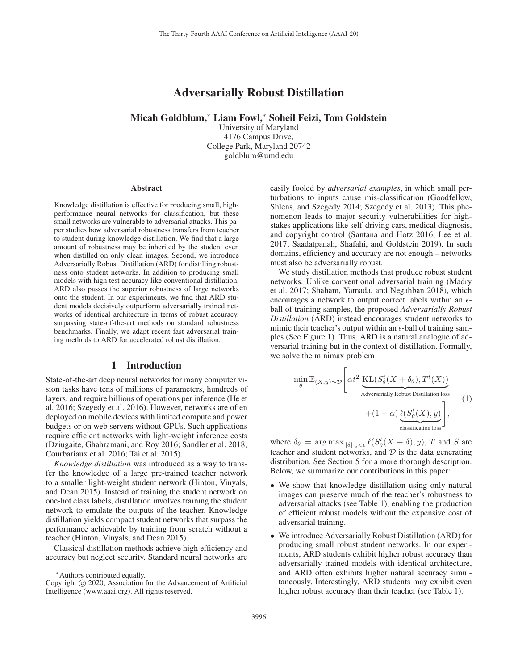# Adversarially Robust Distillation

Micah Goldblum,<sup>∗</sup> Liam Fowl,<sup>∗</sup> Soheil Feizi, Tom Goldstein

University of Maryland 4176 Campus Drive, College Park, Maryland 20742 goldblum@umd.edu

#### **Abstract**

Knowledge distillation is effective for producing small, highperformance neural networks for classification, but these small networks are vulnerable to adversarial attacks. This paper studies how adversarial robustness transfers from teacher to student during knowledge distillation. We find that a large amount of robustness may be inherited by the student even when distilled on only clean images. Second, we introduce Adversarially Robust Distillation (ARD) for distilling robustness onto student networks. In addition to producing small models with high test accuracy like conventional distillation, ARD also passes the superior robustness of large networks onto the student. In our experiments, we find that ARD student models decisively outperform adversarially trained networks of identical architecture in terms of robust accuracy, surpassing state-of-the-art methods on standard robustness benchmarks. Finally, we adapt recent fast adversarial training methods to ARD for accelerated robust distillation.

### 1 Introduction

State-of-the-art deep neural networks for many computer vision tasks have tens of millions of parameters, hundreds of layers, and require billions of operations per inference (He et al. 2016; Szegedy et al. 2016). However, networks are often deployed on mobile devices with limited compute and power budgets or on web servers without GPUs. Such applications require efficient networks with light-weight inference costs (Dziugaite, Ghahramani, and Roy 2016; Sandler et al. 2018; Courbariaux et al. 2016; Tai et al. 2015).

*Knowledge distillation* was introduced as a way to transfer the knowledge of a large pre-trained teacher network to a smaller light-weight student network (Hinton, Vinyals, and Dean 2015). Instead of training the student network on one-hot class labels, distillation involves training the student network to emulate the outputs of the teacher. Knowledge distillation yields compact student networks that surpass the performance achievable by training from scratch without a teacher (Hinton, Vinyals, and Dean 2015).

Classical distillation methods achieve high efficiency and accuracy but neglect security. Standard neural networks are easily fooled by *adversarial examples*, in which small perturbations to inputs cause mis-classification (Goodfellow, Shlens, and Szegedy 2014; Szegedy et al. 2013). This phenomenon leads to major security vulnerabilities for highstakes applications like self-driving cars, medical diagnosis, and copyright control (Santana and Hotz 2016; Lee et al. 2017; Saadatpanah, Shafahi, and Goldstein 2019). In such domains, efficiency and accuracy are not enough – networks must also be adversarially robust.

We study distillation methods that produce robust student networks. Unlike conventional adversarial training (Madry et al. 2017; Shaham, Yamada, and Negahban 2018), which encourages a network to output correct labels within an  $\epsilon$ ball of training samples, the proposed *Adversarially Robust Distillation* (ARD) instead encourages student networks to mimic their teacher's output within an  $\epsilon$ -ball of training samples (See Figure 1). Thus, ARD is a natural analogue of adversarial training but in the context of distillation. Formally, we solve the minimax problem

$$
\min_{\theta} \mathbb{E}_{(X,y)\sim\mathcal{D}} \left[ \alpha t^2 \underbrace{\text{KL}(S_{\theta}^t(X + \delta_{\theta}), T^t(X))}_{\text{Adversarially Robust Distillation loss}} + (1 - \alpha) \underbrace{\ell(S_{\theta}^t(X), y)}_{\text{classification loss}} \right],
$$
\n(1)

where  $\delta_{\theta} = \arg \max_{\|\delta\|_p \leq \epsilon} \ell(S_{\theta}^t(X + \delta), y), T$  and S are teacher and student networks and  $\mathcal{D}$  is the data generating teacher and student networks, and  $D$  is the data generating distribution. See Section 5 for a more thorough description. Below, we summarize our contributions in this paper:

- We show that knowledge distillation using only natural images can preserve much of the teacher's robustness to adversarial attacks (see Table 1), enabling the production of efficient robust models without the expensive cost of adversarial training.
- We introduce Adversarially Robust Distillation (ARD) for producing small robust student networks. In our experiments, ARD students exhibit higher robust accuracy than adversarially trained models with identical architecture, and ARD often exhibits higher natural accuracy simultaneously. Interestingly, ARD students may exhibit even higher robust accuracy than their teacher (see Table 1).

<sup>∗</sup>Authors contributed equally.

Copyright  $\odot$  2020, Association for the Advancement of Artificial Intelligence (www.aaai.org). All rights reserved.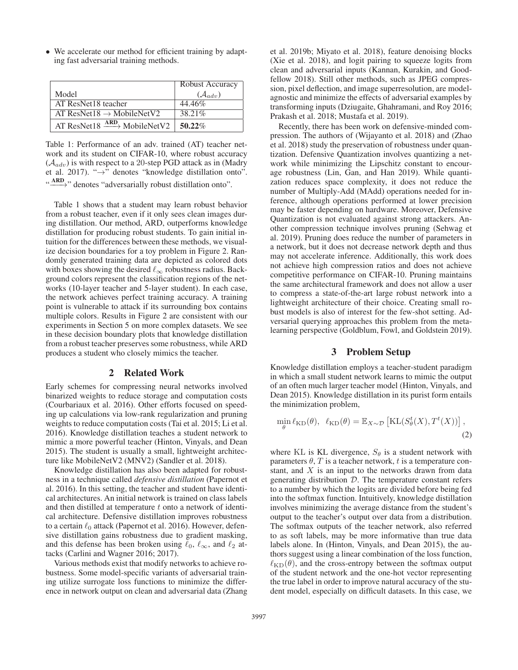• We accelerate our method for efficient training by adapting fast adversarial training methods.

|                                                             | Robust Accuracy       |
|-------------------------------------------------------------|-----------------------|
| Model                                                       | $(\mathcal{A}_{adv})$ |
| AT ResNet18 teacher                                         | 44.46%                |
| AT ResNet18 $\rightarrow$ MobileNetV2                       | 38.21%                |
| AT ResNet18 $\xrightarrow{\text{ARD}}$ MobileNetV2   50.22% |                       |

Table 1: Performance of an adv. trained (AT) teacher network and its student on CIFAR-10, where robust accuracy  $(A_{adv})$  is with respect to a 20-step PGD attack as in (Madry et al. 2017). "→" denotes "knowledge distillation onto". "
ARD<sub>2</sub>" denotes "adversarially robust distillation onto".

Table 1 shows that a student may learn robust behavior from a robust teacher, even if it only sees clean images during distillation. Our method, ARD, outperforms knowledge distillation for producing robust students. To gain initial intuition for the differences between these methods, we visualize decision boundaries for a toy problem in Figure 2. Randomly generated training data are depicted as colored dots with boxes showing the desired  $\ell_{\infty}$  robustness radius. Background colors represent the classification regions of the networks (10-layer teacher and 5-layer student). In each case, the network achieves perfect training accuracy. A training point is vulnerable to attack if its surrounding box contains multiple colors. Results in Figure 2 are consistent with our experiments in Section 5 on more complex datasets. We see in these decision boundary plots that knowledge distillation from a robust teacher preserves some robustness, while ARD produces a student who closely mimics the teacher.

### 2 Related Work

Early schemes for compressing neural networks involved binarized weights to reduce storage and computation costs (Courbariaux et al. 2016). Other efforts focused on speeding up calculations via low-rank regularization and pruning weights to reduce computation costs (Tai et al. 2015; Li et al. 2016). Knowledge distillation teaches a student network to mimic a more powerful teacher (Hinton, Vinyals, and Dean 2015). The student is usually a small, lightweight architecture like MobileNetV2 (MNV2) (Sandler et al. 2018).

Knowledge distillation has also been adapted for robustness in a technique called *defensive distillation* (Papernot et al. 2016). In this setting, the teacher and student have identical architectures. An initial network is trained on class labels and then distilled at temperature  $t$  onto a network of identical architecture. Defensive distillation improves robustness to a certain  $\ell_0$  attack (Papernot et al. 2016). However, defensive distillation gains robustness due to gradient masking, and this defense has been broken using  $\ell_0$ ,  $\ell_\infty$ , and  $\ell_2$  attacks (Carlini and Wagner 2016; 2017).

Various methods exist that modify networks to achieve robustness. Some model-specific variants of adversarial training utilize surrogate loss functions to minimize the difference in network output on clean and adversarial data (Zhang et al. 2019b; Miyato et al. 2018), feature denoising blocks (Xie et al. 2018), and logit pairing to squeeze logits from clean and adversarial inputs (Kannan, Kurakin, and Goodfellow 2018). Still other methods, such as JPEG compression, pixel deflection, and image superresolution, are modelagnostic and minimize the effects of adversarial examples by transforming inputs (Dziugaite, Ghahramani, and Roy 2016; Prakash et al. 2018; Mustafa et al. 2019).

Recently, there has been work on defensive-minded compression. The authors of (Wijayanto et al. 2018) and (Zhao et al. 2018) study the preservation of robustness under quantization. Defensive Quantization involves quantizing a network while minimizing the Lipschitz constant to encourage robustness (Lin, Gan, and Han 2019). While quantization reduces space complexity, it does not reduce the number of Multiply-Add (MAdd) operations needed for inference, although operations performed at lower precision may be faster depending on hardware. Moreover, Defensive Quantization is not evaluated against strong attackers. Another compression technique involves pruning (Sehwag et al. 2019). Pruning does reduce the number of parameters in a network, but it does not decrease network depth and thus may not accelerate inference. Additionally, this work does not achieve high compression ratios and does not achieve competitive performance on CIFAR-10. Pruning maintains the same architectural framework and does not allow a user to compress a state-of-the-art large robust network into a lightweight architecture of their choice. Creating small robust models is also of interest for the few-shot setting. Adversarial querying approaches this problem from the metalearning perspective (Goldblum, Fowl, and Goldstein 2019).

### 3 Problem Setup

Knowledge distillation employs a teacher-student paradigm in which a small student network learns to mimic the output of an often much larger teacher model (Hinton, Vinyals, and Dean 2015). Knowledge distillation in its purist form entails the minimization problem,

$$
\min_{\theta} \ell_{\text{KD}}(\theta), \ \ell_{\text{KD}}(\theta) = \mathbb{E}_{X \sim \mathcal{D}} \left[ \text{KL}(S^t_{\theta}(X), T^t(X)) \right], \tag{2}
$$

where KL is KL divergence,  $S_{\theta}$  is a student network with parameters  $\theta$ , T is a teacher network, t is a temperature constant, and  $X$  is an input to the networks drawn from data generating distribution D. The temperature constant refers to a number by which the logits are divided before being fed into the softmax function. Intuitively, knowledge distillation involves minimizing the average distance from the student's output to the teacher's output over data from a distribution. The softmax outputs of the teacher network, also referred to as soft labels, may be more informative than true data labels alone. In (Hinton, Vinyals, and Dean 2015), the authors suggest using a linear combination of the loss function,  $\ell_{\text{KD}}(\theta)$ , and the cross-entropy between the softmax output of the student network and the one-hot vector representing the true label in order to improve natural accuracy of the student model, especially on difficult datasets. In this case, we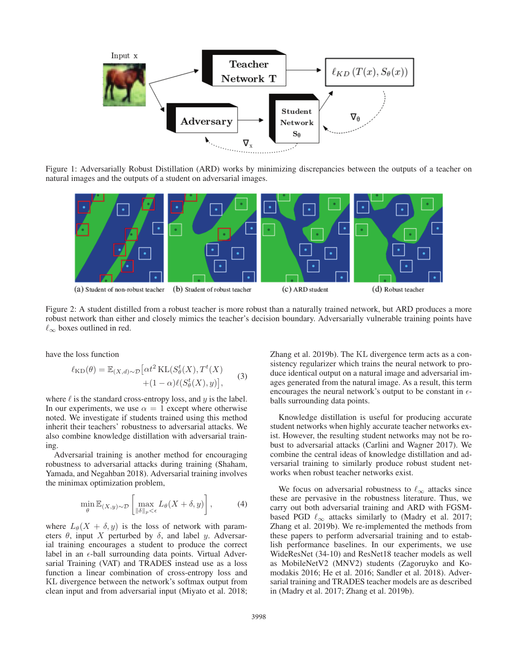

Figure 1: Adversarially Robust Distillation (ARD) works by minimizing discrepancies between the outputs of a teacher on natural images and the outputs of a student on adversarial images.



Figure 2: A student distilled from a robust teacher is more robust than a naturally trained network, but ARD produces a more robust network than either and closely mimics the teacher's decision boundary. Adversarially vulnerable training points have  $\ell_{\infty}$  boxes outlined in red.

have the loss function

$$
\ell_{\text{KD}}(\theta) = \mathbb{E}_{(X,d)\sim\mathcal{D}} \left[ \alpha t^2 \, \text{KL}(S^t_{\theta}(X), T^t(X) \right] + (1 - \alpha) \ell(S^t_{\theta}(X), y) \right], \tag{3}
$$

where  $\ell$  is the standard cross-entropy loss, and  $y$  is the label. In our experiments, we use  $\alpha = 1$  except where otherwise noted. We investigate if students trained using this method inherit their teachers' robustness to adversarial attacks. We also combine knowledge distillation with adversarial training.

Adversarial training is another method for encouraging robustness to adversarial attacks during training (Shaham, Yamada, and Negahban 2018). Adversarial training involves the minimax optimization problem,

$$
\min_{\theta} \mathbb{E}_{(X,y)\sim\mathcal{D}}\left[\max_{\|\delta\|_{p}<\epsilon} L_{\theta}(X+\delta,y)\right],\tag{4}
$$

where  $L_{\theta}(X + \delta, y)$  is the loss of network with parameters  $\theta$ , input X perturbed by  $\delta$ , and label y. Adversarial training encourages a student to produce the correct label in an  $\epsilon$ -ball surrounding data points. Virtual Adversarial Training (VAT) and TRADES instead use as a loss function a linear combination of cross-entropy loss and KL divergence between the network's softmax output from clean input and from adversarial input (Miyato et al. 2018;

Zhang et al. 2019b). The KL divergence term acts as a consistency regularizer which trains the neural network to produce identical output on a natural image and adversarial images generated from the natural image. As a result, this term encourages the neural network's output to be constant in  $\epsilon$ balls surrounding data points.

Knowledge distillation is useful for producing accurate student networks when highly accurate teacher networks exist. However, the resulting student networks may not be robust to adversarial attacks (Carlini and Wagner 2017). We combine the central ideas of knowledge distillation and adversarial training to similarly produce robust student networks when robust teacher networks exist.

We focus on adversarial robustness to  $\ell_{\infty}$  attacks since these are pervasive in the robustness literature. Thus, we carry out both adversarial training and ARD with FGSMbased PGD  $\ell_{\infty}$  attacks similarly to (Madry et al. 2017; Zhang et al. 2019b). We re-implemented the methods from these papers to perform adversarial training and to establish performance baselines. In our experiments, we use WideResNet (34-10) and ResNet18 teacher models as well as MobileNetV2 (MNV2) students (Zagoruyko and Komodakis 2016; He et al. 2016; Sandler et al. 2018). Adversarial training and TRADES teacher models are as described in (Madry et al. 2017; Zhang et al. 2019b).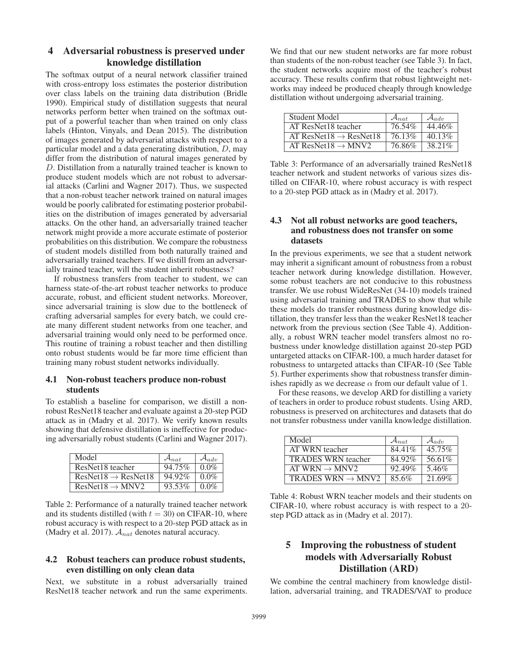# 4 Adversarial robustness is preserved under knowledge distillation

The softmax output of a neural network classifier trained with cross-entropy loss estimates the posterior distribution over class labels on the training data distribution (Bridle 1990). Empirical study of distillation suggests that neural networks perform better when trained on the softmax output of a powerful teacher than when trained on only class labels (Hinton, Vinyals, and Dean 2015). The distribution of images generated by adversarial attacks with respect to a particular model and a data generating distribution, D, may differ from the distribution of natural images generated by D. Distillation from a naturally trained teacher is known to produce student models which are not robust to adversarial attacks (Carlini and Wagner 2017). Thus, we suspected that a non-robust teacher network trained on natural images would be poorly calibrated for estimating posterior probabilities on the distribution of images generated by adversarial attacks. On the other hand, an adversarially trained teacher network might provide a more accurate estimate of posterior probabilities on this distribution. We compare the robustness of student models distilled from both naturally trained and adversarially trained teachers. If we distill from an adversarially trained teacher, will the student inherit robustness?

If robustness transfers from teacher to student, we can harness state-of-the-art robust teacher networks to produce accurate, robust, and efficient student networks. Moreover, since adversarial training is slow due to the bottleneck of crafting adversarial samples for every batch, we could create many different student networks from one teacher, and adversarial training would only need to be performed once. This routine of training a robust teacher and then distilling onto robust students would be far more time efficient than training many robust student networks individually.

### 4.1 Non-robust teachers produce non-robust students

To establish a baseline for comparison, we distill a nonrobust ResNet18 teacher and evaluate against a 20-step PGD attack as in (Madry et al. 2017). We verify known results showing that defensive distillation is ineffective for producing adversarially robust students (Carlini and Wagner 2017).

| Model                           | $\mathcal{A}_{nat}$ | $\mathcal{A}_{adv}$ |
|---------------------------------|---------------------|---------------------|
| ResNet18 teacher                | 94.75%              | $0.0\%$             |
| $ResNet18 \rightarrow ResNet18$ | 94.92%              | $0.0\%$             |
| $ResNet18 \rightarrow MNV2$     | 93.53%              | $0.0\%$             |

Table 2: Performance of a naturally trained teacher network and its students distilled (with  $t = 30$ ) on CIFAR-10, where robust accuracy is with respect to a 20-step PGD attack as in (Madry et al. 2017).  $A_{nat}$  denotes natural accuracy.

### 4.2 Robust teachers can produce robust students, even distilling on only clean data

Next, we substitute in a robust adversarially trained ResNet18 teacher network and run the same experiments.

We find that our new student networks are far more robust than students of the non-robust teacher (see Table 3). In fact, the student networks acquire most of the teacher's robust accuracy. These results confirm that robust lightweight networks may indeed be produced cheaply through knowledge distillation without undergoing adversarial training.

| Student Model                      | $\mathcal{A}_{nat}$ | $\mathcal{A}_{adv}$ |
|------------------------------------|---------------------|---------------------|
| AT ResNet18 teacher                | 76.54%              | 44.46%              |
| AT ResNet18 $\rightarrow$ ResNet18 | 76.13%              | 40.13\%             |
| AT ResNet18 $\rightarrow$ MNV2     | 76.86%              | 38.21%              |

Table 3: Performance of an adversarially trained ResNet18 teacher network and student networks of various sizes distilled on CIFAR-10, where robust accuracy is with respect to a 20-step PGD attack as in (Madry et al. 2017).

### 4.3 Not all robust networks are good teachers, and robustness does not transfer on some datasets

In the previous experiments, we see that a student network may inherit a significant amount of robustness from a robust teacher network during knowledge distillation. However, some robust teachers are not conducive to this robustness transfer. We use robust WideResNet (34-10) models trained using adversarial training and TRADES to show that while these models do transfer robustness during knowledge distillation, they transfer less than the weaker ResNet18 teacher network from the previous section (See Table 4). Additionally, a robust WRN teacher model transfers almost no robustness under knowledge distillation against 20-step PGD untargeted attacks on CIFAR-100, a much harder dataset for robustness to untargeted attacks than CIFAR-10 (See Table 5). Further experiments show that robustness transfer diminishes rapidly as we decrease  $\alpha$  from our default value of 1.

For these reasons, we develop ARD for distilling a variety of teachers in order to produce robust students. Using ARD, robustness is preserved on architectures and datasets that do not transfer robustness under vanilla knowledge distillation.

| Model                         | $\mathcal{A}_{nat}$ | $\mathcal{A}_{adv}$ |
|-------------------------------|---------------------|---------------------|
| AT WRN teacher                | 84.41%              | 45.75%              |
| <b>TRADES WRN</b> teacher     | 84.92%              | 56.61%              |
| AT WRN $\rightarrow$ MNV2     | 92.49%              | 5.46%               |
| TRADES WRN $\rightarrow$ MNV2 | 85.6%               | 21.69%              |

Table 4: Robust WRN teacher models and their students on CIFAR-10, where robust accuracy is with respect to a 20 step PGD attack as in (Madry et al. 2017).

# 5 Improving the robustness of student models with Adversarially Robust Distillation (ARD)

We combine the central machinery from knowledge distillation, adversarial training, and TRADES/VAT to produce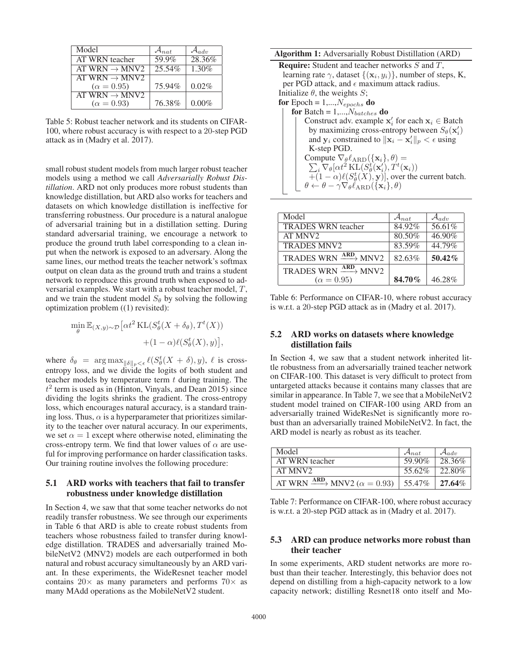| Model                     | $\mathcal{A}_{nat}$ | $\mathcal{A}_{adv}$ |
|---------------------------|---------------------|---------------------|
| AT WRN teacher            | 59.9%               | 28.36%              |
| AT WRN $\rightarrow$ MNV2 | 25.54%              | 1.30%               |
| AT WRN $\rightarrow$ MNV2 |                     |                     |
| $(\alpha = 0.95)$         | 75.94%              | 0.02%               |
| AT WRN $\rightarrow$ MNV2 |                     |                     |
| $(\alpha = 0.93)$         | 76.38%              | $0.00\%$            |
|                           |                     |                     |

Table 5: Robust teacher network and its students on CIFAR-100, where robust accuracy is with respect to a 20-step PGD attack as in (Madry et al. 2017).

small robust student models from much larger robust teacher models using a method we call *Adversarially Robust Distillation*. ARD not only produces more robust students than knowledge distillation, but ARD also works for teachers and datasets on which knowledge distillation is ineffective for transferring robustness. Our procedure is a natural analogue of adversarial training but in a distillation setting. During standard adversarial training, we encourage a network to produce the ground truth label corresponding to a clean input when the network is exposed to an adversary. Along the same lines, our method treats the teacher network's softmax output on clean data as the ground truth and trains a student network to reproduce this ground truth when exposed to adversarial examples. We start with a robust teacher model, T, and we train the student model  $S_{\theta}$  by solving the following optimization problem ((1) revisited):

$$
\min_{\theta} \mathbb{E}_{(X,y)\sim\mathcal{D}}\left[\alpha t^2 \mathrm{KL}(S_{\theta}^t(X+\delta_{\theta}), T^t(X))\right] + (1-\alpha)\ell(S_{\theta}^t(X), y)\right],
$$

where  $\delta_{\theta} = \arg \max_{\|\delta\|_p < \epsilon} \ell(S_{\theta}^t(X + \delta), y), \ell$  is cross-<br>entropy loss, and we divide the logits of both student and entropy loss, and we divide the logits of both student and teacher models by temperature term  $t$  during training. The  $t^2$  term is used as in (Hinton, Vinyals, and Dean 2015) since dividing the logits shrinks the gradient. The cross-entropy loss, which encourages natural accuracy, is a standard training loss. Thus,  $\alpha$  is a hyperparameter that prioritizes similarity to the teacher over natural accuracy. In our experiments, we set  $\alpha = 1$  except where otherwise noted, eliminating the cross-entropy term. We find that lower values of  $\alpha$  are useful for improving performance on harder classification tasks. Our training routine involves the following procedure:

### 5.1 ARD works with teachers that fail to transfer robustness under knowledge distillation

In Section 4, we saw that that some teacher networks do not readily transfer robustness. We see through our experiments in Table 6 that ARD is able to create robust students from teachers whose robustness failed to transfer during knowledge distillation. TRADES and adversarially trained MobileNetV2 (MNV2) models are each outperformed in both natural and robust accuracy simultaneously by an ARD variant. In these experiments, the WideResnet teacher model contains  $20 \times$  as many parameters and performs  $70 \times$  as many MAdd operations as the MobileNetV2 student.

#### Algorithm 1: Adversarially Robust Distillation (ARD)

| <b>Require:</b> Student and teacher networks $S$ and $T$ ,                        |
|-----------------------------------------------------------------------------------|
| learning rate $\gamma$ , dataset $\{(\mathbf{x}_i, y_i)\}\$ , number of steps, K, |
| per PGD attack, and $\epsilon$ maximum attack radius.                             |
| Initialize $\theta$ , the weights S;                                              |
| for Epoch = $1,,N_{epochs}$ do                                                    |
| for Batch = $1,,N_{batches}$ do                                                   |
| Construct adv. example $x'_i$ for each $x_i \in$ Batch                            |
| by maximizing cross-entropy between $S_{\theta}(\mathbf{x}_i)$                    |
| and $y_i$ constrained to $  \mathbf{x}_i - \mathbf{x}'_i  _p < \epsilon$ using    |
|                                                                                   |

| and $y_i$ constrained to $  A_i - A_i  _p < c$ using                                                                |
|---------------------------------------------------------------------------------------------------------------------|
| K-step PGD.                                                                                                         |
| Compute $\nabla_{\theta} \ell_{ARD}(\{\mathbf{x}_i\}, \theta) =$                                                    |
| $\sum_i \nabla_{\theta} [\alpha t^2 \mathop{\mathrm{KL}}\nolimits(S^t_{\theta}(\mathbf{x}'_i), T^t(\mathbf{x}_i))]$ |
| $\overline{+(1-\alpha)\ell(S^t_{\theta}(X), \mathbf{y})}$ , over the current batch.                                 |
| $\theta \leftarrow \theta - \gamma \nabla_{\theta} \ell_{\text{ARD}}(\{\mathbf{x}_i\}, \theta)$                     |
|                                                                                                                     |

| Model                                            | $\mathcal{A}_{nat}$ | $\mathcal{A}_{adv}$ |
|--------------------------------------------------|---------------------|---------------------|
| <b>TRADES WRN</b> teacher                        | 84.92%              | 56.61%              |
| AT MNV <sub>2</sub>                              | 80.50%              | 46.90%              |
| <b>TRADES MNV2</b>                               | 83.59%              | 44.79%              |
| TRADES WRN $\frac{\text{ARD}}{\text{MNV2}}$ MNV2 | 82.63%              | 50.42%              |
| TRADES WRN $\xrightarrow{\text{ARD}}$ MNV2       |                     |                     |
| $(\alpha = 0.95)$                                | 84.70%              | 46.28%              |

Table 6: Performance on CIFAR-10, where robust accuracy is w.r.t. a 20-step PGD attack as in (Madry et al. 2017).

#### 5.2 ARD works on datasets where knowledge distillation fails

In Section 4, we saw that a student network inherited little robustness from an adversarially trained teacher network on CIFAR-100. This dataset is very difficult to protect from untargeted attacks because it contains many classes that are similar in appearance. In Table 7, we see that a MobileNetV2 student model trained on CIFAR-100 using ARD from an adversarially trained WideResNet is significantly more robust than an adversarially trained MobileNetV2. In fact, the ARD model is nearly as robust as its teacher.

| Model                                                      | $\mathcal{A}_{nat}$ | $\mathcal{A}_{adv}$ |
|------------------------------------------------------------|---------------------|---------------------|
| AT WRN teacher                                             | 59.90%              | 28.36%              |
| AT MNV <sub>2</sub>                                        | 55.62%              | 22.80%              |
| AT WRN $\xrightarrow{\text{ARD}}$ MNV2 ( $\alpha = 0.93$ ) | 55.47%              | $27.64\%$           |
|                                                            |                     |                     |

Table 7: Performance on CIFAR-100, where robust accuracy is w.r.t. a 20-step PGD attack as in (Madry et al. 2017).

### 5.3 ARD can produce networks more robust than their teacher

In some experiments, ARD student networks are more robust than their teacher. Interestingly, this behavior does not depend on distilling from a high-capacity network to a low capacity network; distilling Resnet18 onto itself and Mo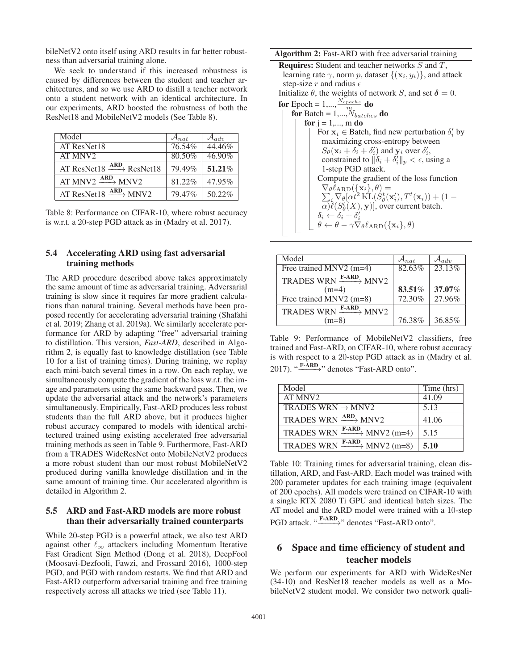bileNetV2 onto itself using ARD results in far better robustness than adversarial training alone.

We seek to understand if this increased robustness is caused by differences between the student and teacher architectures, and so we use ARD to distill a teacher network onto a student network with an identical architecture. In our experiments, ARD boosted the robustness of both the ResNet18 and MobileNetV2 models (See Table 8).

| Model                                           | $\mathcal{A}_{nat}$ | $\mathcal{A}_{adv}$ |
|-------------------------------------------------|---------------------|---------------------|
| AT ResNet18                                     | 76.54%              | 44.46%              |
| AT MNV <sub>2</sub>                             | 80.50%              | 46.90%              |
| AT ResNet18 $\xrightarrow{\text{ARD}}$ ResNet18 | 79.49%              | 51.21%              |
| AT MNV2 $\frac{\text{ARD}}{\text{MNV2}}$ MNV2   | 81.22%              | 47.95%              |
| AT ResNet18 $\xrightarrow{\text{ARD}}$ MNV2     | 79.47%              | 50.22%              |

Table 8: Performance on CIFAR-10, where robust accuracy is w.r.t. a 20-step PGD attack as in (Madry et al. 2017).

### 5.4 Accelerating ARD using fast adversarial training methods

The ARD procedure described above takes approximately the same amount of time as adversarial training. Adversarial training is slow since it requires far more gradient calculations than natural training. Several methods have been proposed recently for accelerating adversarial training (Shafahi et al. 2019; Zhang et al. 2019a). We similarly accelerate performance for ARD by adapting "free" adversarial training to distillation. This version, *Fast-ARD*, described in Algorithm 2, is equally fast to knowledge distillation (see Table 10 for a list of training times). During training, we replay each mini-batch several times in a row. On each replay, we simultaneously compute the gradient of the loss w.r.t. the image and parameters using the same backward pass. Then, we update the adversarial attack and the network's parameters simultaneously. Empirically, Fast-ARD produces less robust students than the full ARD above, but it produces higher robust accuracy compared to models with identical architectured trained using existing accelerated free adversarial training methods as seen in Table 9. Furthermore, Fast-ARD from a TRADES WideResNet onto MobileNetV2 produces a more robust student than our most robust MobileNetV2 produced during vanilla knowledge distillation and in the same amount of training time. Our accelerated algorithm is detailed in Algorithm 2.

### 5.5 ARD and Fast-ARD models are more robust than their adversarially trained counterparts

While 20-step PGD is a powerful attack, we also test ARD against other  $\ell_{\infty}$  attackers including Momentum Iterative Fast Gradient Sign Method (Dong et al. 2018), DeepFool (Moosavi-Dezfooli, Fawzi, and Frossard 2016), 1000-step PGD, and PGD with random restarts. We find that ARD and Fast-ARD outperform adversarial training and free training respectively across all attacks we tried (see Table 11).

Algorithm 2: Fast-ARD with free adversarial training

| <b>Requires:</b> Student and teacher networks S and T,                                                  |  |  |  |
|---------------------------------------------------------------------------------------------------------|--|--|--|
| learning rate $\gamma$ , norm p, dataset $\{(\mathbf{x}_i, y_i)\}\$ , and attack                        |  |  |  |
| step-size r and radius $\epsilon$                                                                       |  |  |  |
| Initialize $\theta$ , the weights of network S, and set $\delta = 0$ .                                  |  |  |  |
| for Epoch = 1,, $\frac{N_{epochs}}{m}$ do                                                               |  |  |  |
| for Batch = $1,,N_{batches}$ do                                                                         |  |  |  |
| for $j = 1,, m$ do                                                                                      |  |  |  |
| For $x_i \in$ Batch, find new perturbation $\delta_i'$ by                                               |  |  |  |
| maximizing cross-entropy between                                                                        |  |  |  |
| $S_{\theta}(\mathbf{x}_i + \delta_i + \delta'_i)$ and $\mathbf{y}_i$ over $\delta'_i$ ,                 |  |  |  |
| constrained to $\ \delta_i + \delta'_i\ _p < \epsilon$ , using a                                        |  |  |  |
| 1-step PGD attack.                                                                                      |  |  |  |
| Compute the gradient of the loss function                                                               |  |  |  |
| $\nabla_{\theta} \ell_{ARD}(\{\mathbf{x}_i\}, \theta) =$                                                |  |  |  |
| $\sum_i \nabla_{\theta} [\alpha t^2 \mathbf{KL}(S_{\theta}^t(\mathbf{x}_i'), T^t(\mathbf{x}_i)) + (1 -$ |  |  |  |
| $\alpha$ ) $\ell(S^t_{\theta}(X), \mathbf{y})$ , over current batch.                                    |  |  |  |
| $\delta_i \leftarrow \delta_i + \delta'_i$                                                              |  |  |  |
| $\theta \leftarrow \theta - \gamma \nabla_{\theta} \ell_{\text{ARD}}(\{\mathbf{x}_i\}, \theta)$         |  |  |  |
|                                                                                                         |  |  |  |
|                                                                                                         |  |  |  |

| Model                                 | $\mathcal{A}_{nat}$ | $\mathcal{A}_{adv}$ |
|---------------------------------------|---------------------|---------------------|
| Free trained $MNV2$ (m=4)             | 82.63%              | 23.13%              |
| TRADES WRN $\xrightarrow{F-ARD} MNV2$ |                     |                     |
| $(m=4)$                               | 83.51%              | 37.07%              |
| Free trained MNV2 $(m=8)$             | 72.30%              | 27.96%              |
| TRADES WRN $\xrightarrow{F-ARD} MNV2$ |                     |                     |
| $(m=8)$                               | 76.38%              | 36.85%              |

Table 9: Performance of MobileNetV2 classifiers, free trained and Fast-ARD, on CIFAR-10, where robust accuracy is with respect to a 20-step PGD attack as in (Madry et al. 2017). " $\xrightarrow{\textbf{F-ARD}}$ " denotes "Fast-ARD onto".

| Model                                       | Time (hrs) |
|---------------------------------------------|------------|
| AT MNV2                                     | 41.09      |
| TRADES WRN $\rightarrow$ MNV2               | 5.13       |
| TRADES WRN $\xrightarrow{\text{ARD}}$ MNV2  | 41.06      |
| TRADES WRN $\xrightarrow{F-ARD} MNV2$ (m=4) | 5.15       |
| TRADES WRN $\xrightarrow{F-ARD} MNV2$ (m=8) | 5.10       |

Table 10: Training times for adversarial training, clean distillation, ARD, and Fast-ARD. Each model was trained with 200 parameter updates for each training image (equivalent of 200 epochs). All models were trained on CIFAR-10 with a single RTX 2080 Ti GPU and identical batch sizes. The AT model and the ARD model were trained with a 10-step PGD attack. "F-ARD<sub>2</sub>" denotes "Fast-ARD onto".

# 6 Space and time efficiency of student and teacher models

We perform our experiments for ARD with WideResNet (34-10) and ResNet18 teacher models as well as a MobileNetV2 student model. We consider two network quali-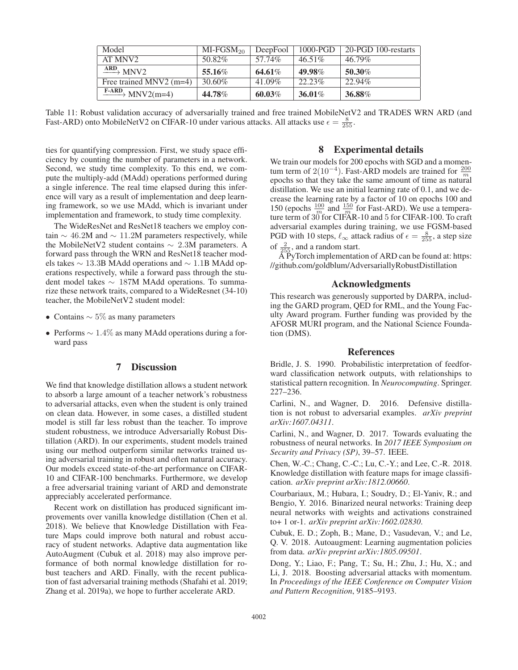| Model                                        | $MI-FGSM20$ | DeepFool | $1000-PGD$ | 20-PGD 100-restarts |
|----------------------------------------------|-------------|----------|------------|---------------------|
| AT MNV2                                      | 50.82%      | 57.74%   | $46.51\%$  | 46.79%              |
| $\longrightarrow$ MNV2                       | 55.16%      | 64.61%   | 49.98%     | 50.30%              |
| Free trained MNV2 $(m=4)$                    | 30.60%      | 41.09%   | $22.23\%$  | 22.94%              |
| $\frac{\text{F-ARD}}{\text{MNV2}}$ MNV2(m=4) | 44.78%      | 60.03%   | 36.01%     | 36.88%              |

Table 11: Robust validation accuracy of adversarially trained and free trained MobileNetV2 and TRADES WRN ARD (and Fast-ARD) onto MobileNetV2 on CIFAR-10 under various attacks. All attacks use  $\epsilon = \frac{8}{255}$ .

ties for quantifying compression. First, we study space efficiency by counting the number of parameters in a network. Second, we study time complexity. To this end, we compute the multiply-add (MAdd) operations performed during a single inference. The real time elapsed during this inference will vary as a result of implementation and deep learning framework, so we use MAdd, which is invariant under implementation and framework, to study time complexity.

The WideResNet and ResNet18 teachers we employ contain  $\sim$  46.2M and  $\sim$  11.2M parameters respectively, while the MobileNetV2 student contains <sup>∼</sup> 2.3M parameters. A forward pass through the WRN and ResNet18 teacher models takes <sup>∼</sup> 13.3B MAdd operations and <sup>∼</sup> 1.1B MAdd operations respectively, while a forward pass through the student model takes <sup>∼</sup> 187M MAdd operations. To summarize these network traits, compared to a WideResnet (34-10) teacher, the MobileNetV2 student model:

- Contains  $\sim 5\%$  as many parameters
- Performs <sup>∼</sup> 1.4% as many MAdd operations during a forward pass

### 7 Discussion

We find that knowledge distillation allows a student network to absorb a large amount of a teacher network's robustness to adversarial attacks, even when the student is only trained on clean data. However, in some cases, a distilled student model is still far less robust than the teacher. To improve student robustness, we introduce Adversarially Robust Distillation (ARD). In our experiments, student models trained using our method outperform similar networks trained using adversarial training in robust and often natural accuracy. Our models exceed state-of-the-art performance on CIFAR-10 and CIFAR-100 benchmarks. Furthermore, we develop a free adversarial training variant of ARD and demonstrate appreciably accelerated performance.

Recent work on distillation has produced significant improvements over vanilla knowledge distillation (Chen et al. 2018). We believe that Knowledge Distillation with Feature Maps could improve both natural and robust accuracy of student networks. Adaptive data augmentation like AutoAugment (Cubuk et al. 2018) may also improve performance of both normal knowledge distillation for robust teachers and ARD. Finally, with the recent publication of fast adversarial training methods (Shafahi et al. 2019; Zhang et al. 2019a), we hope to further accelerate ARD.

### 8 Experimental details

We train our models for 200 epochs with SGD and a momentum term of  $2(10^{-4})$ . Fast-ARD models are trained for  $\frac{200}{m}$ <br>epochs so that they take the same amount of time as natural epochs so that they take the same amount of time as natural distillation. We use an initial learning rate of 0.1, and we decrease the learning rate by a factor of 10 on epochs 100 and 150 (epochs  $\frac{100}{m}$  and  $\frac{150}{m}$  for Fast-ARD). We use a temperature term of  $30^{\circ}$  for CIFAR-10 and 5 for CIFAR-100. To craft adversarial examples during training, we use FGSM-based PGD with 10 steps,  $\ell_{\infty}$  attack radius of  $\epsilon = \frac{8}{255}$ , a step size of  $\frac{2}{255}$ , and a random start.

 $\tilde{A}$  PyTorch implementation of ARD can be found at: https: //github.com/goldblum/AdversariallyRobustDistillation

### Acknowledgments

This research was generously supported by DARPA, including the GARD program, QED for RML, and the Young Faculty Award program. Further funding was provided by the AFOSR MURI program, and the National Science Foundation (DMS).

#### References

Bridle, J. S. 1990. Probabilistic interpretation of feedforward classification network outputs, with relationships to statistical pattern recognition. In *Neurocomputing*. Springer. 227–236.

Carlini, N., and Wagner, D. 2016. Defensive distillation is not robust to adversarial examples. *arXiv preprint arXiv:1607.04311*.

Carlini, N., and Wagner, D. 2017. Towards evaluating the robustness of neural networks. In *2017 IEEE Symposium on Security and Privacy (SP)*, 39–57. IEEE.

Chen, W.-C.; Chang, C.-C.; Lu, C.-Y.; and Lee, C.-R. 2018. Knowledge distillation with feature maps for image classification. *arXiv preprint arXiv:1812.00660*.

Courbariaux, M.; Hubara, I.; Soudry, D.; El-Yaniv, R.; and Bengio, Y. 2016. Binarized neural networks: Training deep neural networks with weights and activations constrained to+ 1 or-1. *arXiv preprint arXiv:1602.02830*.

Cubuk, E. D.; Zoph, B.; Mane, D.; Vasudevan, V.; and Le, Q. V. 2018. Autoaugment: Learning augmentation policies from data. *arXiv preprint arXiv:1805.09501*.

Dong, Y.; Liao, F.; Pang, T.; Su, H.; Zhu, J.; Hu, X.; and Li, J. 2018. Boosting adversarial attacks with momentum. In *Proceedings of the IEEE Conference on Computer Vision and Pattern Recognition*, 9185–9193.